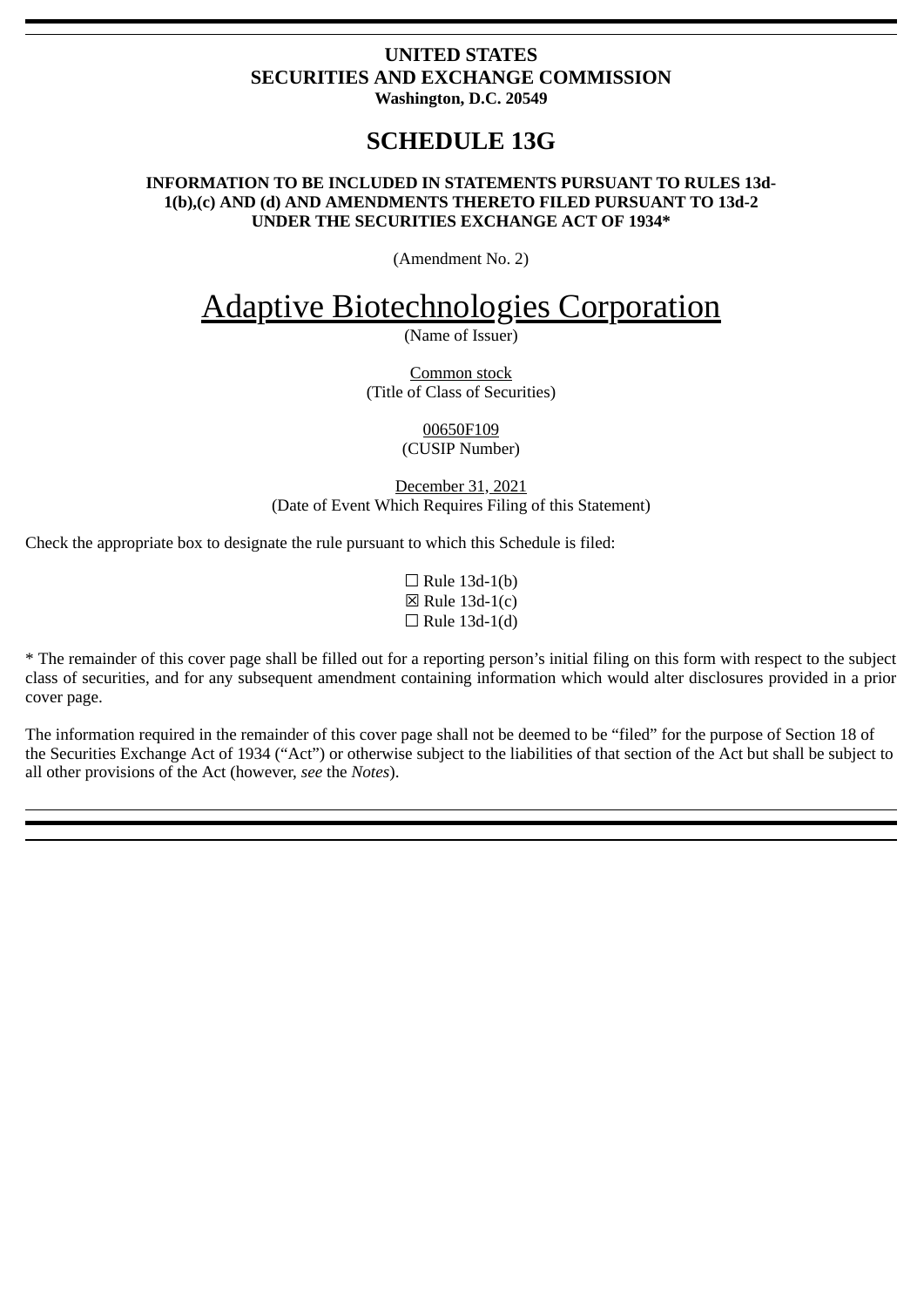#### **UNITED STATES SECURITIES AND EXCHANGE COMMISSION Washington, D.C. 20549**

## **SCHEDULE 13G**

#### **INFORMATION TO BE INCLUDED IN STATEMENTS PURSUANT TO RULES 13d-1(b),(c) AND (d) AND AMENDMENTS THERETO FILED PURSUANT TO 13d-2 UNDER THE SECURITIES EXCHANGE ACT OF 1934\***

(Amendment No. 2)

# Adaptive Biotechnologies Corporation

(Name of Issuer)

Common stock (Title of Class of Securities)

> 00650F109 (CUSIP Number)

December 31, 2021 (Date of Event Which Requires Filing of this Statement)

Check the appropriate box to designate the rule pursuant to which this Schedule is filed:

 $\Box$  Rule 13d-1(b)  $\boxtimes$  Rule 13d-1(c)  $\Box$  Rule 13d-1(d)

\* The remainder of this cover page shall be filled out for a reporting person's initial filing on this form with respect to the subject class of securities, and for any subsequent amendment containing information which would alter disclosures provided in a prior cover page.

The information required in the remainder of this cover page shall not be deemed to be "filed" for the purpose of Section 18 of the Securities Exchange Act of 1934 ("Act") or otherwise subject to the liabilities of that section of the Act but shall be subject to all other provisions of the Act (however, *see* the *Notes*).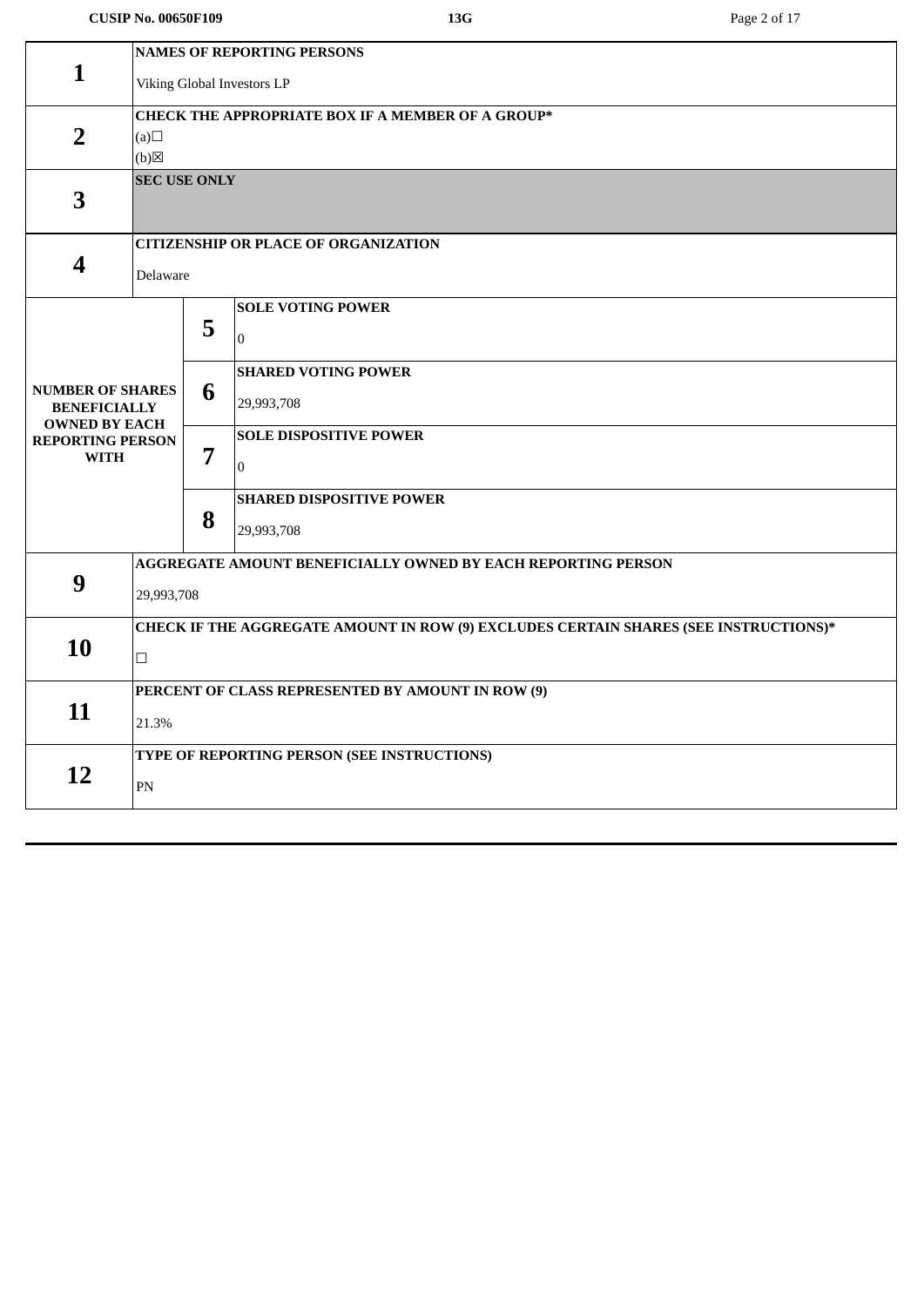#### **CUSIP No. 00650F109 13G** Page 2 of 17

|                                                                        | <b>NAMES OF REPORTING PERSONS</b>                                                    |   |                                                              |  |  |  |
|------------------------------------------------------------------------|--------------------------------------------------------------------------------------|---|--------------------------------------------------------------|--|--|--|
| $\mathbf{1}$                                                           | Viking Global Investors LP                                                           |   |                                                              |  |  |  |
|                                                                        |                                                                                      |   |                                                              |  |  |  |
|                                                                        | <b>CHECK THE APPROPRIATE BOX IF A MEMBER OF A GROUP*</b>                             |   |                                                              |  |  |  |
| $\overline{2}$                                                         | (a)                                                                                  |   |                                                              |  |  |  |
|                                                                        | (b)<br><b>SEC USE ONLY</b>                                                           |   |                                                              |  |  |  |
| 3                                                                      |                                                                                      |   |                                                              |  |  |  |
|                                                                        |                                                                                      |   |                                                              |  |  |  |
|                                                                        |                                                                                      |   | <b>CITIZENSHIP OR PLACE OF ORGANIZATION</b>                  |  |  |  |
| $\boldsymbol{4}$                                                       | Delaware                                                                             |   |                                                              |  |  |  |
|                                                                        |                                                                                      |   |                                                              |  |  |  |
|                                                                        |                                                                                      |   | <b>SOLE VOTING POWER</b>                                     |  |  |  |
|                                                                        |                                                                                      | 5 | $\Omega$                                                     |  |  |  |
|                                                                        |                                                                                      |   |                                                              |  |  |  |
|                                                                        |                                                                                      |   | <b>SHARED VOTING POWER</b>                                   |  |  |  |
| <b>NUMBER OF SHARES</b><br><b>BENEFICIALLY</b><br><b>OWNED BY EACH</b> |                                                                                      | 6 | 29,993,708                                                   |  |  |  |
| <b>REPORTING PERSON</b>                                                |                                                                                      |   | <b>SOLE DISPOSITIVE POWER</b>                                |  |  |  |
| <b>WITH</b>                                                            |                                                                                      | 7 | $\Omega$                                                     |  |  |  |
|                                                                        |                                                                                      |   |                                                              |  |  |  |
|                                                                        |                                                                                      |   | <b>SHARED DISPOSITIVE POWER</b>                              |  |  |  |
|                                                                        |                                                                                      | 8 | 29,993,708                                                   |  |  |  |
|                                                                        |                                                                                      |   | AGGREGATE AMOUNT BENEFICIALLY OWNED BY EACH REPORTING PERSON |  |  |  |
| 9                                                                      | 29,993,708                                                                           |   |                                                              |  |  |  |
|                                                                        |                                                                                      |   |                                                              |  |  |  |
|                                                                        | CHECK IF THE AGGREGATE AMOUNT IN ROW (9) EXCLUDES CERTAIN SHARES (SEE INSTRUCTIONS)* |   |                                                              |  |  |  |
| 10                                                                     | $\Box$                                                                               |   |                                                              |  |  |  |
|                                                                        |                                                                                      |   |                                                              |  |  |  |
| 11                                                                     | PERCENT OF CLASS REPRESENTED BY AMOUNT IN ROW (9)                                    |   |                                                              |  |  |  |
|                                                                        | 21.3%                                                                                |   |                                                              |  |  |  |
|                                                                        | TYPE OF REPORTING PERSON (SEE INSTRUCTIONS)                                          |   |                                                              |  |  |  |
| 12                                                                     |                                                                                      |   |                                                              |  |  |  |
|                                                                        | PN                                                                                   |   |                                                              |  |  |  |
|                                                                        |                                                                                      |   |                                                              |  |  |  |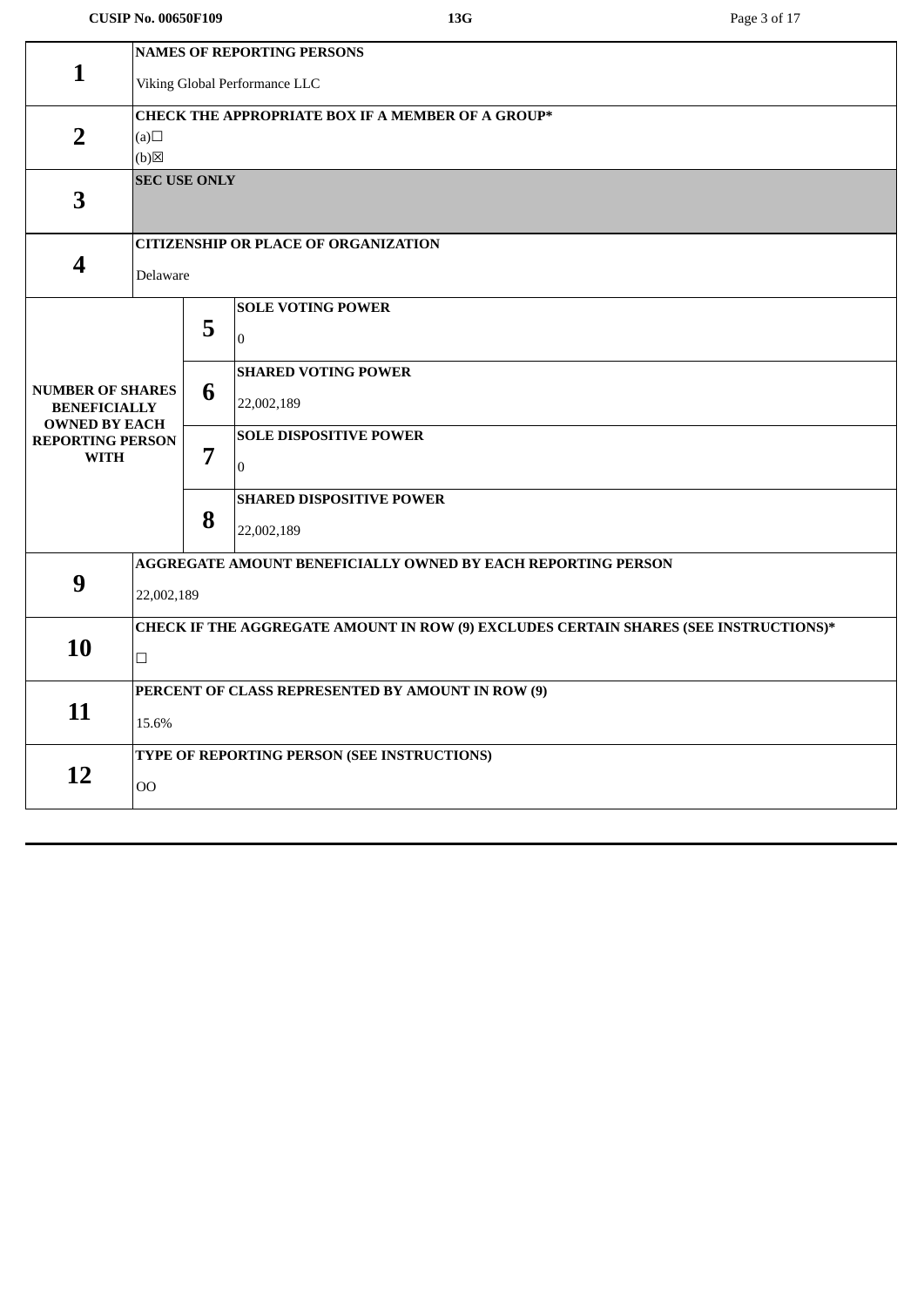### **CUSIP No. 00650F109 13G** Page 3 of 17

|                                                                        | <b>NAMES OF REPORTING PERSONS</b>                                                              |   |                                                 |  |
|------------------------------------------------------------------------|------------------------------------------------------------------------------------------------|---|-------------------------------------------------|--|
| $\mathbf{1}$                                                           | Viking Global Performance LLC                                                                  |   |                                                 |  |
| $\overline{2}$                                                         | <b>CHECK THE APPROPRIATE BOX IF A MEMBER OF A GROUP*</b><br>(a)<br>$(b)$ $\boxtimes$           |   |                                                 |  |
| 3                                                                      | <b>SEC USE ONLY</b>                                                                            |   |                                                 |  |
| 4                                                                      | <b>CITIZENSHIP OR PLACE OF ORGANIZATION</b><br>Delaware                                        |   |                                                 |  |
|                                                                        |                                                                                                | 5 | <b>SOLE VOTING POWER</b><br>$\overline{0}$      |  |
| <b>NUMBER OF SHARES</b><br><b>BENEFICIALLY</b><br><b>OWNED BY EACH</b> |                                                                                                | 6 | <b>SHARED VOTING POWER</b><br>22,002,189        |  |
| <b>REPORTING PERSON</b><br><b>WITH</b>                                 |                                                                                                | 7 | <b>SOLE DISPOSITIVE POWER</b><br>$\overline{0}$ |  |
|                                                                        |                                                                                                | 8 | <b>SHARED DISPOSITIVE POWER</b><br>22,002,189   |  |
| 9                                                                      | AGGREGATE AMOUNT BENEFICIALLY OWNED BY EACH REPORTING PERSON<br>22,002,189                     |   |                                                 |  |
| 10                                                                     | CHECK IF THE AGGREGATE AMOUNT IN ROW (9) EXCLUDES CERTAIN SHARES (SEE INSTRUCTIONS)*<br>$\Box$ |   |                                                 |  |
| 11                                                                     | PERCENT OF CLASS REPRESENTED BY AMOUNT IN ROW (9)<br>15.6%                                     |   |                                                 |  |
| 12                                                                     | TYPE OF REPORTING PERSON (SEE INSTRUCTIONS)<br>00                                              |   |                                                 |  |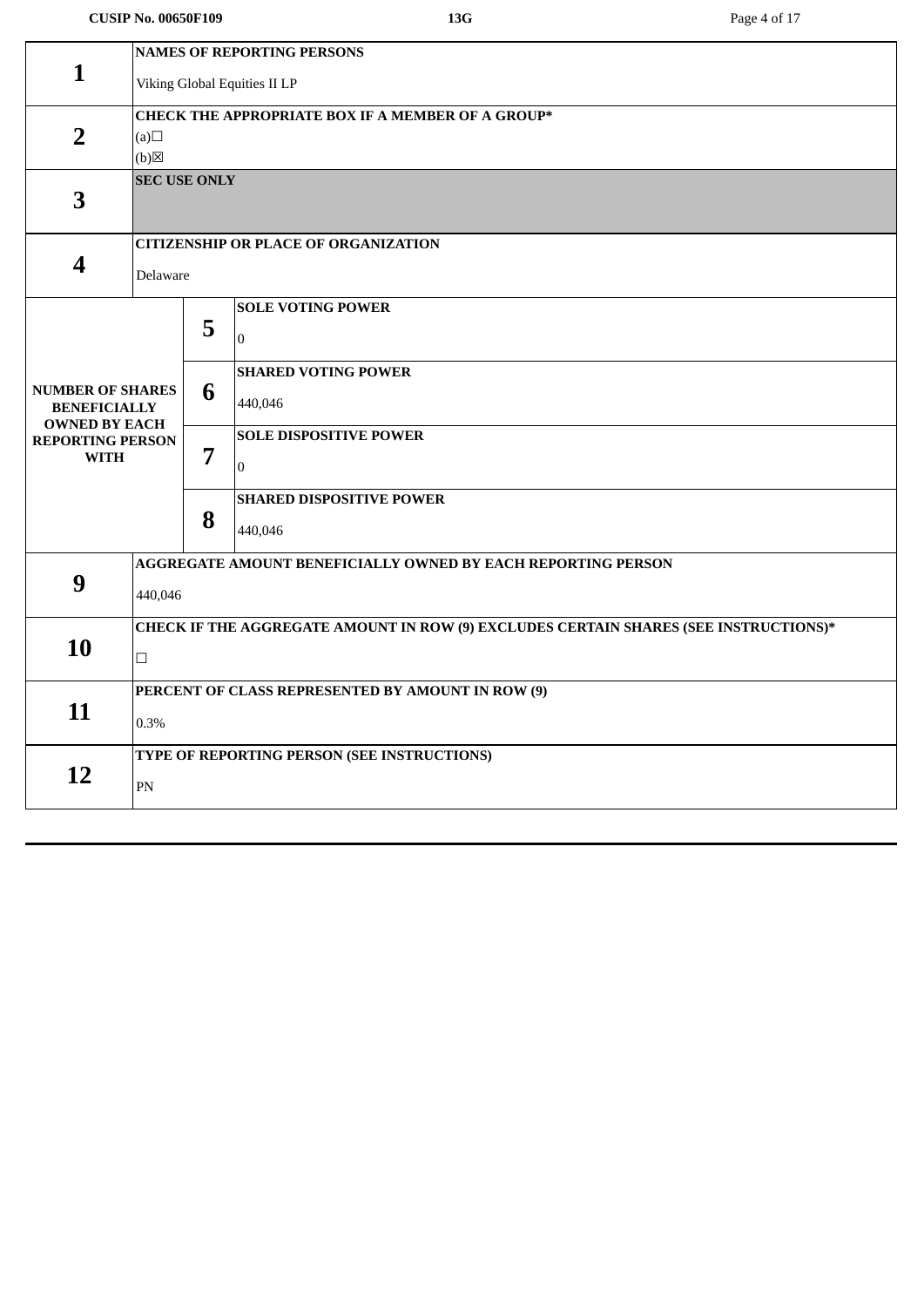#### **CUSIP No. 00650F109 13G** Page 4 of 17

|                                             | <b>NAMES OF REPORTING PERSONS</b>                                                    |        |                                             |  |  |  |  |
|---------------------------------------------|--------------------------------------------------------------------------------------|--------|---------------------------------------------|--|--|--|--|
| $\mathbf{1}$                                | Viking Global Equities II LP                                                         |        |                                             |  |  |  |  |
|                                             |                                                                                      |        |                                             |  |  |  |  |
|                                             | <b>CHECK THE APPROPRIATE BOX IF A MEMBER OF A GROUP*</b>                             |        |                                             |  |  |  |  |
| $\overline{2}$                              | (a)                                                                                  |        |                                             |  |  |  |  |
| (b)<br><b>SEC USE ONLY</b>                  |                                                                                      |        |                                             |  |  |  |  |
| 3                                           |                                                                                      |        |                                             |  |  |  |  |
|                                             |                                                                                      |        |                                             |  |  |  |  |
|                                             |                                                                                      |        | <b>CITIZENSHIP OR PLACE OF ORGANIZATION</b> |  |  |  |  |
| 4                                           | Delaware                                                                             |        |                                             |  |  |  |  |
|                                             |                                                                                      |        |                                             |  |  |  |  |
|                                             |                                                                                      | 5      | <b>SOLE VOTING POWER</b>                    |  |  |  |  |
|                                             |                                                                                      |        | $\overline{0}$                              |  |  |  |  |
|                                             |                                                                                      |        | <b>SHARED VOTING POWER</b>                  |  |  |  |  |
| <b>NUMBER OF SHARES</b>                     |                                                                                      | 6      | 440,046                                     |  |  |  |  |
| <b>BENEFICIALLY</b><br><b>OWNED BY EACH</b> |                                                                                      |        |                                             |  |  |  |  |
| <b>REPORTING PERSON</b>                     |                                                                                      |        | <b>SOLE DISPOSITIVE POWER</b>               |  |  |  |  |
| <b>WITH</b>                                 |                                                                                      | 7      | $\Omega$                                    |  |  |  |  |
|                                             |                                                                                      |        | <b>SHARED DISPOSITIVE POWER</b>             |  |  |  |  |
|                                             |                                                                                      | 8      |                                             |  |  |  |  |
|                                             |                                                                                      |        | 440,046                                     |  |  |  |  |
|                                             | AGGREGATE AMOUNT BENEFICIALLY OWNED BY EACH REPORTING PERSON                         |        |                                             |  |  |  |  |
| 9                                           | 440,046                                                                              |        |                                             |  |  |  |  |
|                                             | CHECK IF THE AGGREGATE AMOUNT IN ROW (9) EXCLUDES CERTAIN SHARES (SEE INSTRUCTIONS)* |        |                                             |  |  |  |  |
| 10                                          |                                                                                      |        |                                             |  |  |  |  |
|                                             |                                                                                      | $\Box$ |                                             |  |  |  |  |
|                                             | PERCENT OF CLASS REPRESENTED BY AMOUNT IN ROW (9)                                    |        |                                             |  |  |  |  |
| 11                                          | 0.3%                                                                                 |        |                                             |  |  |  |  |
|                                             |                                                                                      |        |                                             |  |  |  |  |
| 12                                          | TYPE OF REPORTING PERSON (SEE INSTRUCTIONS)                                          |        |                                             |  |  |  |  |
|                                             | $\mathbf{PN}$                                                                        |        |                                             |  |  |  |  |
|                                             |                                                                                      |        |                                             |  |  |  |  |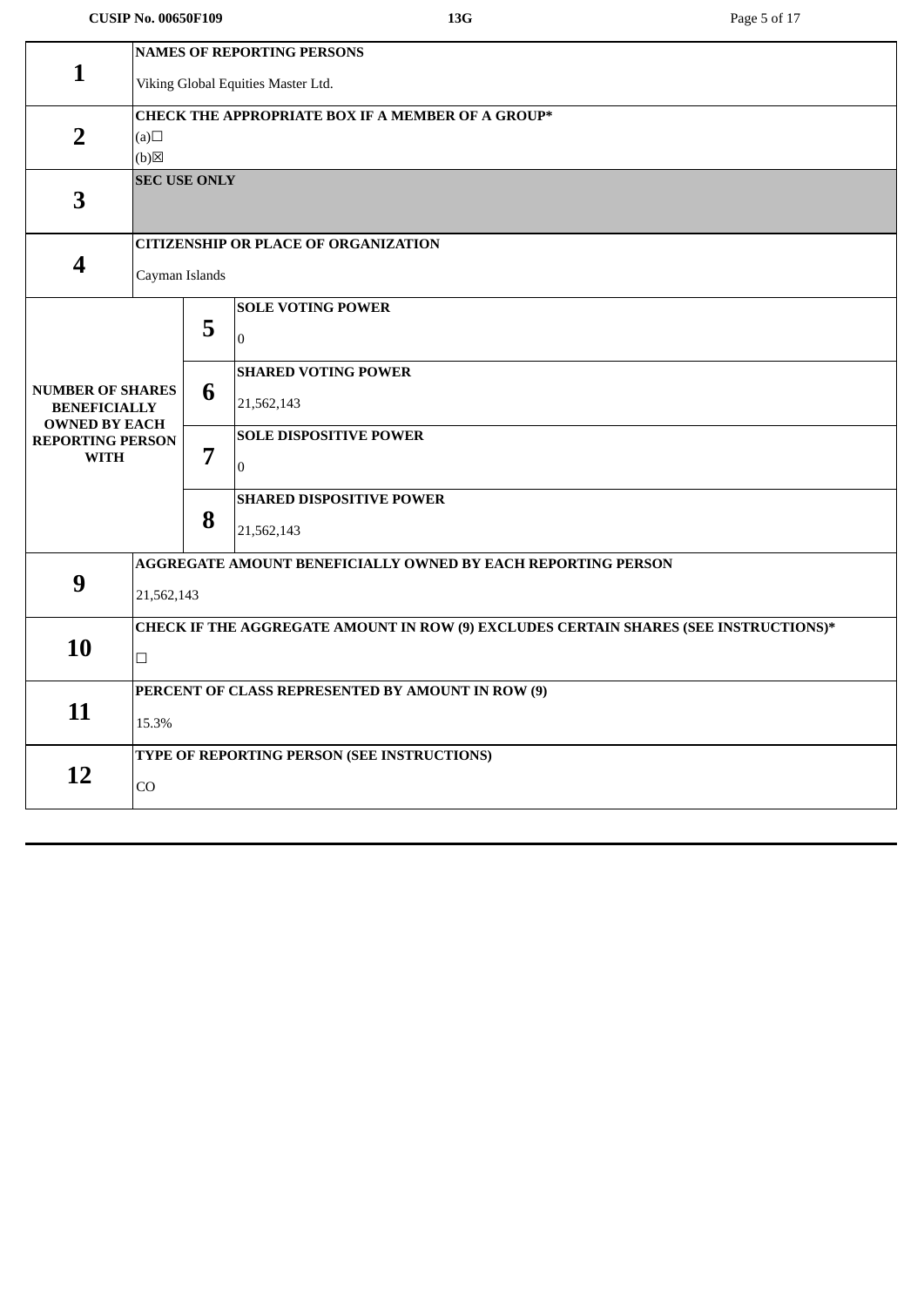#### **CUSIP No. 00650F109 13G** Page 5 of 17

|                                                | <b>NAMES OF REPORTING PERSONS</b>                                                    |                                                              |                                             |  |  |  |
|------------------------------------------------|--------------------------------------------------------------------------------------|--------------------------------------------------------------|---------------------------------------------|--|--|--|
| $\mathbf{1}$                                   | Viking Global Equities Master Ltd.                                                   |                                                              |                                             |  |  |  |
|                                                |                                                                                      |                                                              |                                             |  |  |  |
|                                                | <b>CHECK THE APPROPRIATE BOX IF A MEMBER OF A GROUP*</b>                             |                                                              |                                             |  |  |  |
| $\overline{2}$                                 | (a)                                                                                  |                                                              |                                             |  |  |  |
|                                                | (b)                                                                                  |                                                              |                                             |  |  |  |
|                                                | <b>SEC USE ONLY</b>                                                                  |                                                              |                                             |  |  |  |
| 3                                              |                                                                                      |                                                              |                                             |  |  |  |
|                                                |                                                                                      |                                                              | <b>CITIZENSHIP OR PLACE OF ORGANIZATION</b> |  |  |  |
| $\overline{\mathbf{4}}$                        |                                                                                      |                                                              |                                             |  |  |  |
|                                                | Cayman Islands                                                                       |                                                              |                                             |  |  |  |
|                                                |                                                                                      |                                                              | <b>SOLE VOTING POWER</b>                    |  |  |  |
|                                                |                                                                                      | 5                                                            |                                             |  |  |  |
|                                                |                                                                                      |                                                              | $\mathbf{0}$                                |  |  |  |
|                                                |                                                                                      |                                                              | <b>SHARED VOTING POWER</b>                  |  |  |  |
| <b>NUMBER OF SHARES</b><br><b>BENEFICIALLY</b> |                                                                                      | 6                                                            | 21,562,143                                  |  |  |  |
| <b>OWNED BY EACH</b>                           |                                                                                      |                                                              |                                             |  |  |  |
| <b>REPORTING PERSON</b>                        |                                                                                      |                                                              | <b>SOLE DISPOSITIVE POWER</b>               |  |  |  |
| <b>WITH</b>                                    |                                                                                      | 7                                                            | $\mathbf{0}$                                |  |  |  |
|                                                |                                                                                      |                                                              | <b>SHARED DISPOSITIVE POWER</b>             |  |  |  |
|                                                |                                                                                      | 8                                                            |                                             |  |  |  |
|                                                |                                                                                      |                                                              | 21,562,143                                  |  |  |  |
|                                                |                                                                                      | AGGREGATE AMOUNT BENEFICIALLY OWNED BY EACH REPORTING PERSON |                                             |  |  |  |
| 9                                              |                                                                                      |                                                              |                                             |  |  |  |
|                                                | 21,562,143                                                                           |                                                              |                                             |  |  |  |
|                                                | CHECK IF THE AGGREGATE AMOUNT IN ROW (9) EXCLUDES CERTAIN SHARES (SEE INSTRUCTIONS)* |                                                              |                                             |  |  |  |
| 10                                             | $\Box$                                                                               |                                                              |                                             |  |  |  |
|                                                |                                                                                      |                                                              |                                             |  |  |  |
|                                                | PERCENT OF CLASS REPRESENTED BY AMOUNT IN ROW (9)                                    |                                                              |                                             |  |  |  |
| 11                                             | 15.3%                                                                                |                                                              |                                             |  |  |  |
|                                                |                                                                                      |                                                              |                                             |  |  |  |
| 12                                             | TYPE OF REPORTING PERSON (SEE INSTRUCTIONS)                                          |                                                              |                                             |  |  |  |
|                                                | CO                                                                                   |                                                              |                                             |  |  |  |
|                                                |                                                                                      |                                                              |                                             |  |  |  |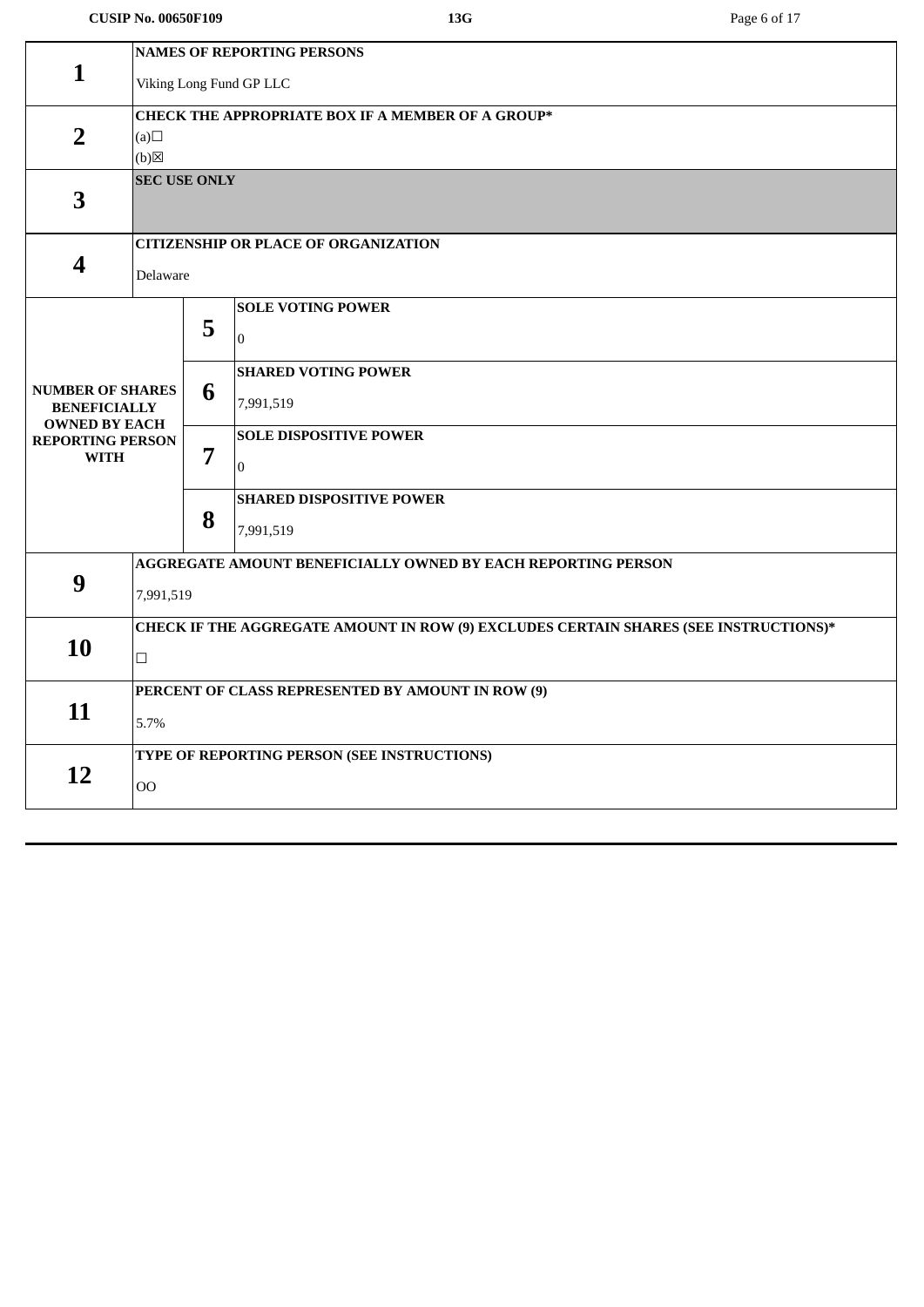#### **CUSIP No. 00650F109 13G** Page 6 of 17

|                                             | <b>NAMES OF REPORTING PERSONS</b>                                                    |   |                                             |  |  |  |
|---------------------------------------------|--------------------------------------------------------------------------------------|---|---------------------------------------------|--|--|--|
| $\mathbf{1}$                                | Viking Long Fund GP LLC                                                              |   |                                             |  |  |  |
|                                             |                                                                                      |   |                                             |  |  |  |
| $\overline{2}$                              | <b>CHECK THE APPROPRIATE BOX IF A MEMBER OF A GROUP*</b>                             |   |                                             |  |  |  |
|                                             | (a)<br>(b)                                                                           |   |                                             |  |  |  |
| <b>SEC USE ONLY</b>                         |                                                                                      |   |                                             |  |  |  |
| 3                                           |                                                                                      |   |                                             |  |  |  |
|                                             |                                                                                      |   |                                             |  |  |  |
|                                             |                                                                                      |   | <b>CITIZENSHIP OR PLACE OF ORGANIZATION</b> |  |  |  |
| $\boldsymbol{4}$                            | Delaware                                                                             |   |                                             |  |  |  |
|                                             |                                                                                      |   |                                             |  |  |  |
|                                             |                                                                                      | 5 | <b>SOLE VOTING POWER</b>                    |  |  |  |
|                                             |                                                                                      |   | $\overline{0}$                              |  |  |  |
|                                             |                                                                                      |   | <b>SHARED VOTING POWER</b>                  |  |  |  |
| <b>NUMBER OF SHARES</b>                     |                                                                                      | 6 | 7,991,519                                   |  |  |  |
| <b>BENEFICIALLY</b><br><b>OWNED BY EACH</b> |                                                                                      |   |                                             |  |  |  |
| <b>REPORTING PERSON</b>                     |                                                                                      |   | <b>SOLE DISPOSITIVE POWER</b>               |  |  |  |
| <b>WITH</b>                                 |                                                                                      | 7 | $\Omega$                                    |  |  |  |
|                                             |                                                                                      |   | <b>SHARED DISPOSITIVE POWER</b>             |  |  |  |
|                                             |                                                                                      | 8 |                                             |  |  |  |
|                                             |                                                                                      |   | 7,991,519                                   |  |  |  |
|                                             | AGGREGATE AMOUNT BENEFICIALLY OWNED BY EACH REPORTING PERSON                         |   |                                             |  |  |  |
| 9                                           | 7,991,519                                                                            |   |                                             |  |  |  |
|                                             | CHECK IF THE AGGREGATE AMOUNT IN ROW (9) EXCLUDES CERTAIN SHARES (SEE INSTRUCTIONS)* |   |                                             |  |  |  |
| 10                                          |                                                                                      |   |                                             |  |  |  |
|                                             | $\Box$                                                                               |   |                                             |  |  |  |
|                                             | PERCENT OF CLASS REPRESENTED BY AMOUNT IN ROW (9)                                    |   |                                             |  |  |  |
| 11                                          | 5.7%                                                                                 |   |                                             |  |  |  |
|                                             |                                                                                      |   |                                             |  |  |  |
| 12                                          | TYPE OF REPORTING PERSON (SEE INSTRUCTIONS)                                          |   |                                             |  |  |  |
|                                             | <b>OO</b>                                                                            |   |                                             |  |  |  |
|                                             |                                                                                      |   |                                             |  |  |  |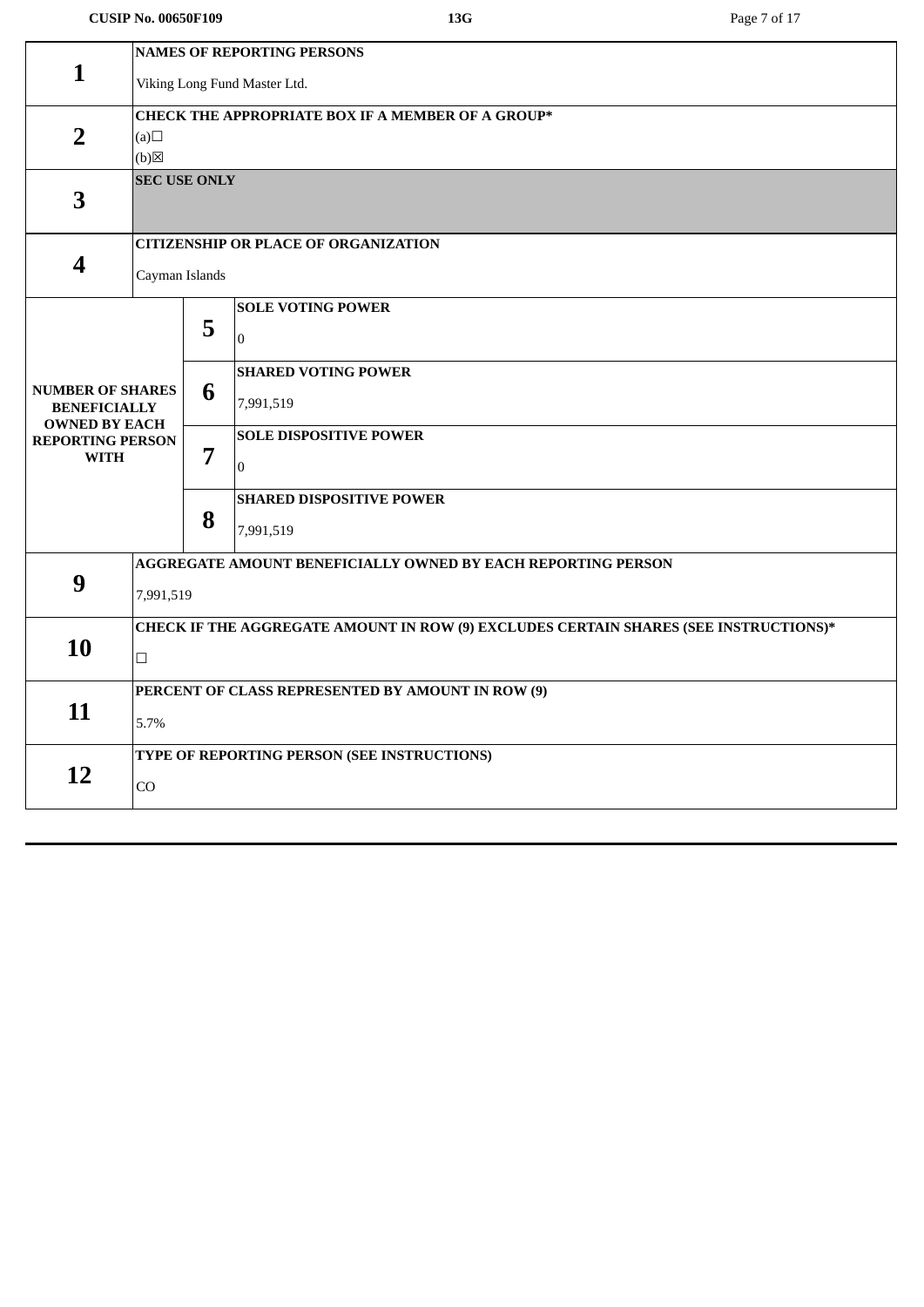### **CUSIP No. 00650F109 13G** Page 7 of 17

| <b>NAMES OF REPORTING PERSONS</b><br>$\mathbf{1}$<br>Viking Long Fund Master Ltd.<br><b>CHECK THE APPROPRIATE BOX IF A MEMBER OF A GROUP*</b><br>$\overline{2}$<br>(a)<br>(b)<br><b>SEC USE ONLY</b> |                                                                                      |  |  |  |  |  |
|------------------------------------------------------------------------------------------------------------------------------------------------------------------------------------------------------|--------------------------------------------------------------------------------------|--|--|--|--|--|
|                                                                                                                                                                                                      |                                                                                      |  |  |  |  |  |
|                                                                                                                                                                                                      |                                                                                      |  |  |  |  |  |
|                                                                                                                                                                                                      |                                                                                      |  |  |  |  |  |
|                                                                                                                                                                                                      |                                                                                      |  |  |  |  |  |
|                                                                                                                                                                                                      |                                                                                      |  |  |  |  |  |
|                                                                                                                                                                                                      |                                                                                      |  |  |  |  |  |
| 3                                                                                                                                                                                                    |                                                                                      |  |  |  |  |  |
|                                                                                                                                                                                                      |                                                                                      |  |  |  |  |  |
| <b>CITIZENSHIP OR PLACE OF ORGANIZATION</b>                                                                                                                                                          |                                                                                      |  |  |  |  |  |
| $\boldsymbol{4}$<br>Cayman Islands                                                                                                                                                                   |                                                                                      |  |  |  |  |  |
|                                                                                                                                                                                                      |                                                                                      |  |  |  |  |  |
| <b>SOLE VOTING POWER</b>                                                                                                                                                                             |                                                                                      |  |  |  |  |  |
| 5<br>$\overline{0}$                                                                                                                                                                                  |                                                                                      |  |  |  |  |  |
| <b>SHARED VOTING POWER</b>                                                                                                                                                                           |                                                                                      |  |  |  |  |  |
| <b>NUMBER OF SHARES</b><br>6                                                                                                                                                                         |                                                                                      |  |  |  |  |  |
| 7,991,519<br><b>BENEFICIALLY</b><br><b>OWNED BY EACH</b>                                                                                                                                             |                                                                                      |  |  |  |  |  |
| <b>SOLE DISPOSITIVE POWER</b><br><b>REPORTING PERSON</b>                                                                                                                                             |                                                                                      |  |  |  |  |  |
| 7<br><b>WITH</b><br>$\Omega$                                                                                                                                                                         |                                                                                      |  |  |  |  |  |
|                                                                                                                                                                                                      |                                                                                      |  |  |  |  |  |
| <b>SHARED DISPOSITIVE POWER</b><br>8                                                                                                                                                                 |                                                                                      |  |  |  |  |  |
| 7,991,519                                                                                                                                                                                            |                                                                                      |  |  |  |  |  |
| AGGREGATE AMOUNT BENEFICIALLY OWNED BY EACH REPORTING PERSON                                                                                                                                         |                                                                                      |  |  |  |  |  |
| 9                                                                                                                                                                                                    | 7,991,519                                                                            |  |  |  |  |  |
|                                                                                                                                                                                                      |                                                                                      |  |  |  |  |  |
|                                                                                                                                                                                                      | CHECK IF THE AGGREGATE AMOUNT IN ROW (9) EXCLUDES CERTAIN SHARES (SEE INSTRUCTIONS)* |  |  |  |  |  |
| 10<br>$\Box$                                                                                                                                                                                         |                                                                                      |  |  |  |  |  |
| PERCENT OF CLASS REPRESENTED BY AMOUNT IN ROW (9)                                                                                                                                                    |                                                                                      |  |  |  |  |  |
| 11                                                                                                                                                                                                   |                                                                                      |  |  |  |  |  |
|                                                                                                                                                                                                      | 5.7%                                                                                 |  |  |  |  |  |
|                                                                                                                                                                                                      | TYPE OF REPORTING PERSON (SEE INSTRUCTIONS)                                          |  |  |  |  |  |
|                                                                                                                                                                                                      |                                                                                      |  |  |  |  |  |
| 12<br>CO                                                                                                                                                                                             |                                                                                      |  |  |  |  |  |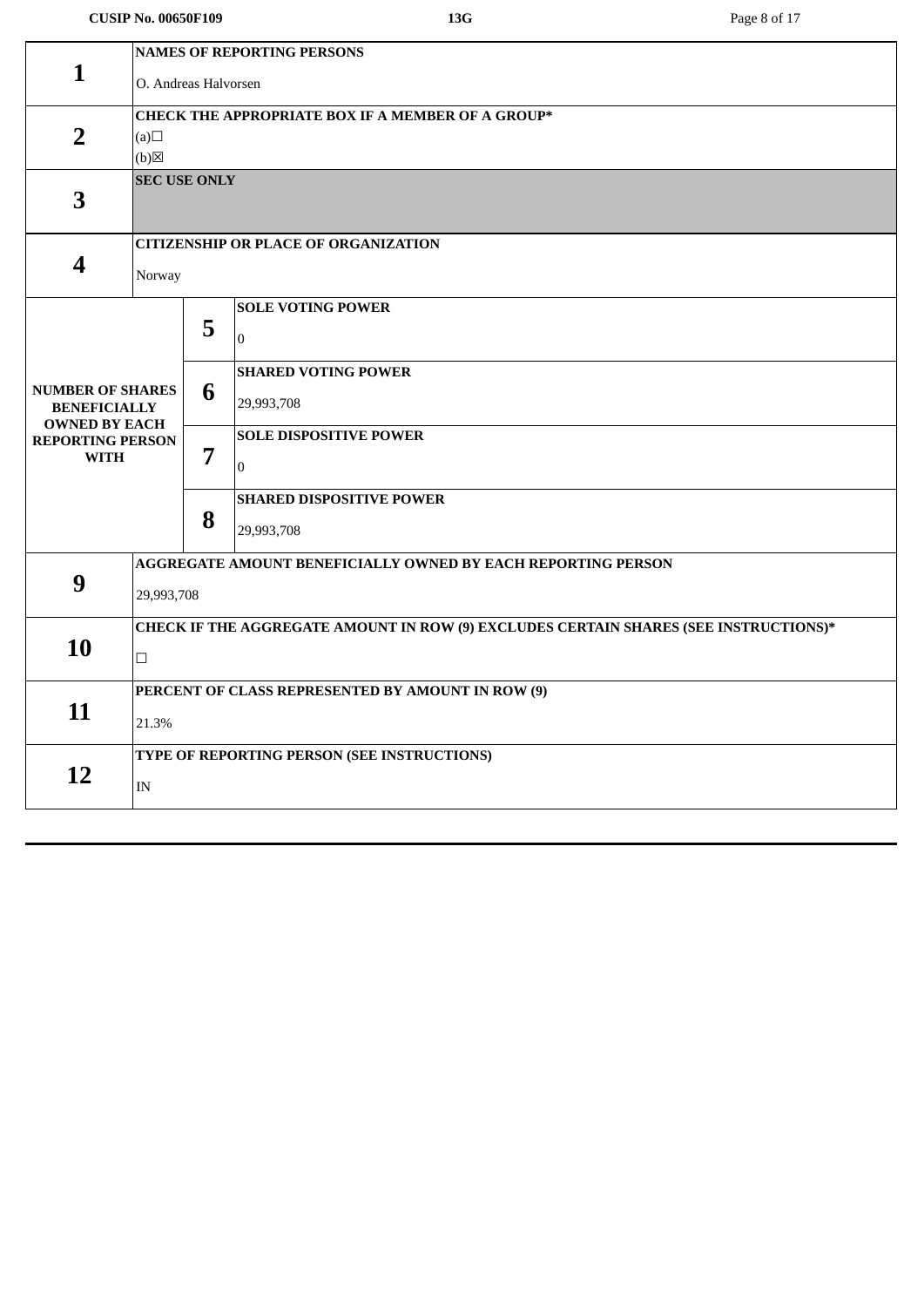#### **CUSIP No. 00650F109 13G** Page 8 of 17

|                                                                                   | <b>NAMES OF REPORTING PERSONS</b>                                                    |   |                                             |  |  |
|-----------------------------------------------------------------------------------|--------------------------------------------------------------------------------------|---|---------------------------------------------|--|--|
| 1                                                                                 | O. Andreas Halvorsen                                                                 |   |                                             |  |  |
|                                                                                   |                                                                                      |   |                                             |  |  |
| <b>CHECK THE APPROPRIATE BOX IF A MEMBER OF A GROUP*</b><br>$\overline{2}$<br>(a) |                                                                                      |   |                                             |  |  |
|                                                                                   | (b)                                                                                  |   |                                             |  |  |
|                                                                                   | <b>SEC USE ONLY</b>                                                                  |   |                                             |  |  |
| 3                                                                                 |                                                                                      |   |                                             |  |  |
|                                                                                   |                                                                                      |   | <b>CITIZENSHIP OR PLACE OF ORGANIZATION</b> |  |  |
| $\overline{\mathbf{4}}$                                                           | Norway                                                                               |   |                                             |  |  |
|                                                                                   |                                                                                      |   | <b>SOLE VOTING POWER</b>                    |  |  |
|                                                                                   |                                                                                      | 5 | $\overline{0}$                              |  |  |
|                                                                                   |                                                                                      |   | <b>SHARED VOTING POWER</b>                  |  |  |
| <b>NUMBER OF SHARES</b><br><b>BENEFICIALLY</b><br><b>OWNED BY EACH</b>            |                                                                                      | 6 | 29,993,708                                  |  |  |
| <b>REPORTING PERSON</b>                                                           |                                                                                      | 7 | <b>SOLE DISPOSITIVE POWER</b>               |  |  |
| <b>WITH</b>                                                                       |                                                                                      |   | $\overline{0}$                              |  |  |
|                                                                                   |                                                                                      |   | <b>SHARED DISPOSITIVE POWER</b>             |  |  |
|                                                                                   |                                                                                      | 8 | 29,993,708                                  |  |  |
|                                                                                   | AGGREGATE AMOUNT BENEFICIALLY OWNED BY EACH REPORTING PERSON                         |   |                                             |  |  |
| 9                                                                                 | 29,993,708                                                                           |   |                                             |  |  |
|                                                                                   | CHECK IF THE AGGREGATE AMOUNT IN ROW (9) EXCLUDES CERTAIN SHARES (SEE INSTRUCTIONS)* |   |                                             |  |  |
| 10                                                                                | $\Box$                                                                               |   |                                             |  |  |
|                                                                                   | PERCENT OF CLASS REPRESENTED BY AMOUNT IN ROW (9)                                    |   |                                             |  |  |
| 11                                                                                | 21.3%                                                                                |   |                                             |  |  |
|                                                                                   | TYPE OF REPORTING PERSON (SEE INSTRUCTIONS)                                          |   |                                             |  |  |
| 12                                                                                | $\ensuremath{\text{IN}}$                                                             |   |                                             |  |  |
|                                                                                   |                                                                                      |   |                                             |  |  |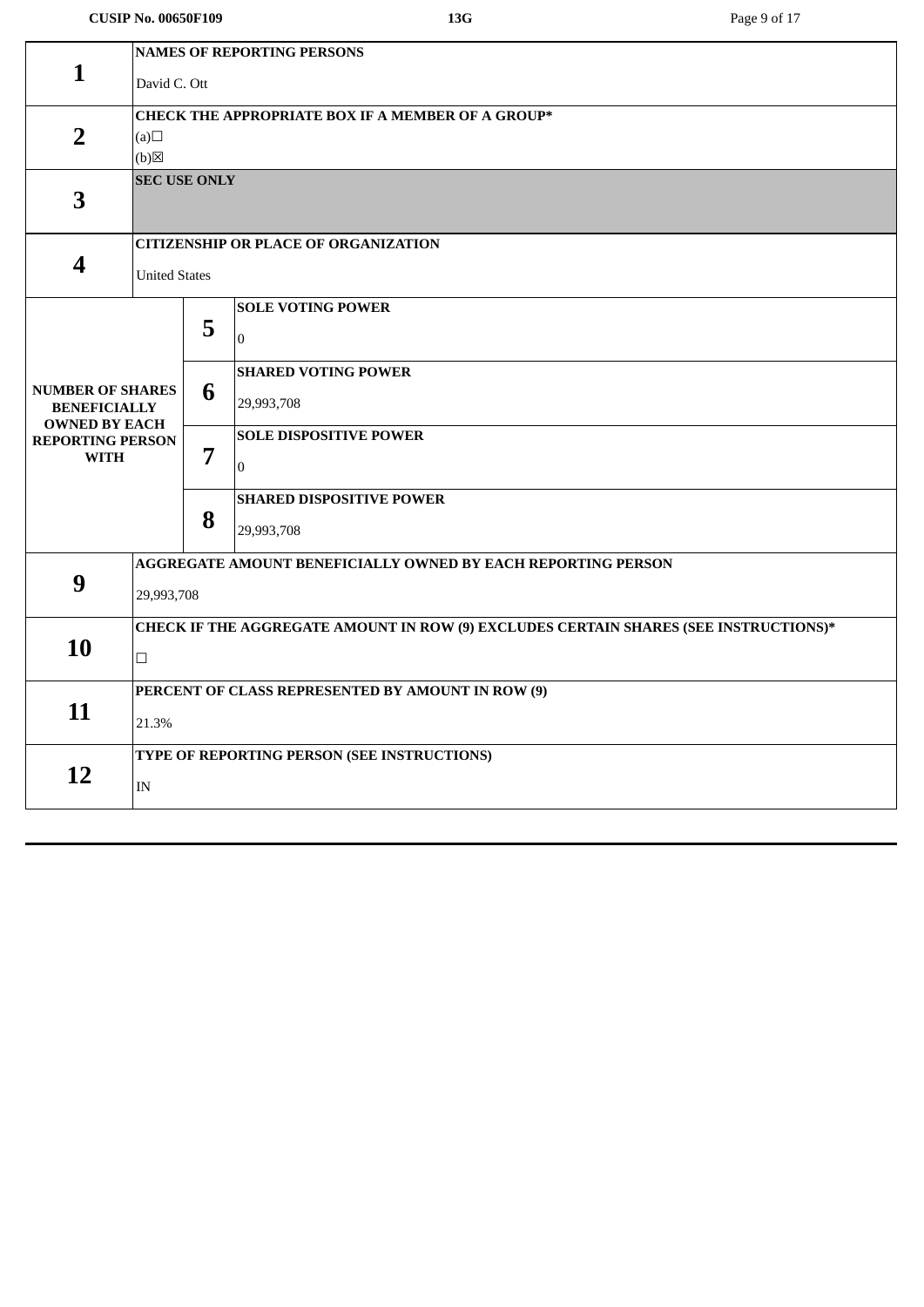#### **CUSIP No. 00650F109 13G** Page 9 of 17

|                                                          | <b>NAMES OF REPORTING PERSONS</b>                                                    |   |                                                              |  |  |
|----------------------------------------------------------|--------------------------------------------------------------------------------------|---|--------------------------------------------------------------|--|--|
| 1                                                        | David C. Ott                                                                         |   |                                                              |  |  |
| <b>CHECK THE APPROPRIATE BOX IF A MEMBER OF A GROUP*</b> |                                                                                      |   |                                                              |  |  |
| $\overline{2}$                                           | (a)                                                                                  |   |                                                              |  |  |
| $(b)$ $\boxtimes$                                        |                                                                                      |   |                                                              |  |  |
|                                                          | <b>SEC USE ONLY</b>                                                                  |   |                                                              |  |  |
| $\overline{\mathbf{3}}$                                  |                                                                                      |   |                                                              |  |  |
|                                                          |                                                                                      |   | <b>CITIZENSHIP OR PLACE OF ORGANIZATION</b>                  |  |  |
| $\overline{\mathbf{4}}$                                  | <b>United States</b>                                                                 |   |                                                              |  |  |
|                                                          |                                                                                      |   | <b>SOLE VOTING POWER</b>                                     |  |  |
|                                                          |                                                                                      | 5 | $\overline{0}$                                               |  |  |
|                                                          |                                                                                      |   |                                                              |  |  |
| <b>NUMBER OF SHARES</b>                                  |                                                                                      | 6 | <b>SHARED VOTING POWER</b>                                   |  |  |
| <b>BENEFICIALLY</b><br><b>OWNED BY EACH</b>              |                                                                                      |   | 29,993,708                                                   |  |  |
| <b>REPORTING PERSON</b>                                  |                                                                                      | 7 | <b>SOLE DISPOSITIVE POWER</b>                                |  |  |
| <b>WITH</b>                                              |                                                                                      |   | $\overline{0}$                                               |  |  |
|                                                          |                                                                                      |   | <b>SHARED DISPOSITIVE POWER</b>                              |  |  |
|                                                          |                                                                                      | 8 | 29,993,708                                                   |  |  |
|                                                          |                                                                                      |   | AGGREGATE AMOUNT BENEFICIALLY OWNED BY EACH REPORTING PERSON |  |  |
| 9                                                        | 29,993,708                                                                           |   |                                                              |  |  |
|                                                          |                                                                                      |   |                                                              |  |  |
| 10                                                       | CHECK IF THE AGGREGATE AMOUNT IN ROW (9) EXCLUDES CERTAIN SHARES (SEE INSTRUCTIONS)* |   |                                                              |  |  |
|                                                          | $\Box$                                                                               |   |                                                              |  |  |
|                                                          | PERCENT OF CLASS REPRESENTED BY AMOUNT IN ROW (9)                                    |   |                                                              |  |  |
| 11                                                       | 21.3%                                                                                |   |                                                              |  |  |
|                                                          | TYPE OF REPORTING PERSON (SEE INSTRUCTIONS)                                          |   |                                                              |  |  |
| 12                                                       | $\text{IN}{}$                                                                        |   |                                                              |  |  |
|                                                          |                                                                                      |   |                                                              |  |  |
|                                                          |                                                                                      |   |                                                              |  |  |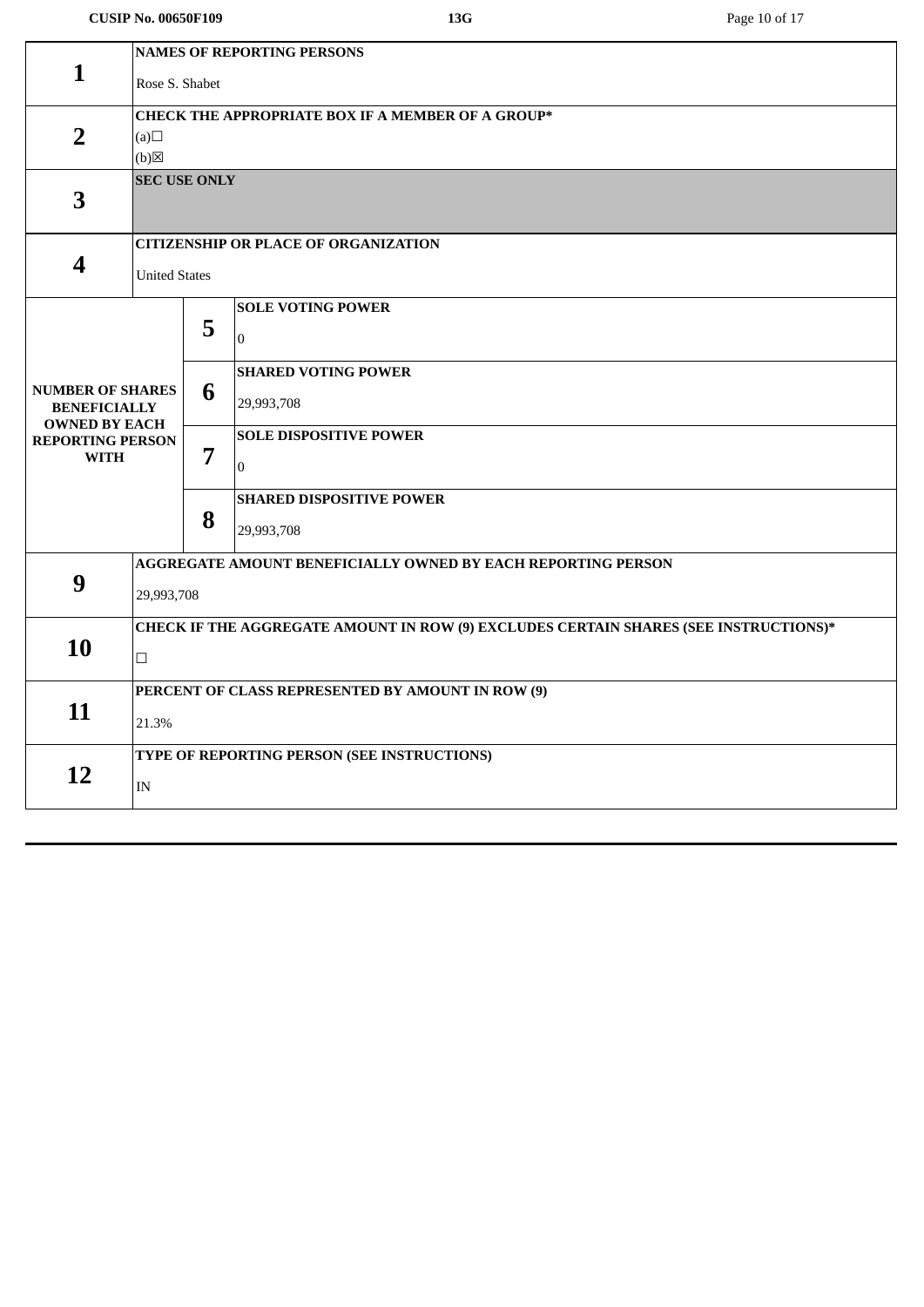#### **CUSIP No. 00650F109 13G** Page 10 of 17

|                                             | <b>NAMES OF REPORTING PERSONS</b>                                                    |   |                                                              |  |  |  |
|---------------------------------------------|--------------------------------------------------------------------------------------|---|--------------------------------------------------------------|--|--|--|
| $\mathbf{1}$                                | Rose S. Shabet                                                                       |   |                                                              |  |  |  |
|                                             |                                                                                      |   |                                                              |  |  |  |
|                                             | <b>CHECK THE APPROPRIATE BOX IF A MEMBER OF A GROUP*</b>                             |   |                                                              |  |  |  |
| $\overline{2}$                              | (a)                                                                                  |   |                                                              |  |  |  |
| (b)<br><b>SEC USE ONLY</b>                  |                                                                                      |   |                                                              |  |  |  |
| 3                                           |                                                                                      |   |                                                              |  |  |  |
|                                             |                                                                                      |   |                                                              |  |  |  |
|                                             |                                                                                      |   | <b>CITIZENSHIP OR PLACE OF ORGANIZATION</b>                  |  |  |  |
| 4                                           | <b>United States</b>                                                                 |   |                                                              |  |  |  |
|                                             |                                                                                      |   |                                                              |  |  |  |
|                                             |                                                                                      |   | <b>SOLE VOTING POWER</b>                                     |  |  |  |
|                                             |                                                                                      | 5 | $\mathbf{0}$                                                 |  |  |  |
|                                             |                                                                                      |   | <b>SHARED VOTING POWER</b>                                   |  |  |  |
| <b>NUMBER OF SHARES</b>                     |                                                                                      | 6 |                                                              |  |  |  |
| <b>BENEFICIALLY</b><br><b>OWNED BY EACH</b> |                                                                                      |   | 29,993,708                                                   |  |  |  |
| <b>REPORTING PERSON</b>                     |                                                                                      |   | <b>SOLE DISPOSITIVE POWER</b>                                |  |  |  |
| <b>WITH</b>                                 |                                                                                      | 7 | $\mathbf{0}$                                                 |  |  |  |
|                                             |                                                                                      |   |                                                              |  |  |  |
|                                             |                                                                                      | 8 | <b>SHARED DISPOSITIVE POWER</b>                              |  |  |  |
|                                             |                                                                                      |   | 29,993,708                                                   |  |  |  |
|                                             |                                                                                      |   | AGGREGATE AMOUNT BENEFICIALLY OWNED BY EACH REPORTING PERSON |  |  |  |
| 9                                           | 29,993,708                                                                           |   |                                                              |  |  |  |
|                                             |                                                                                      |   |                                                              |  |  |  |
| 10                                          | CHECK IF THE AGGREGATE AMOUNT IN ROW (9) EXCLUDES CERTAIN SHARES (SEE INSTRUCTIONS)* |   |                                                              |  |  |  |
|                                             | $\Box$                                                                               |   |                                                              |  |  |  |
|                                             | PERCENT OF CLASS REPRESENTED BY AMOUNT IN ROW (9)                                    |   |                                                              |  |  |  |
| 11                                          |                                                                                      |   |                                                              |  |  |  |
|                                             | 21.3%                                                                                |   |                                                              |  |  |  |
|                                             | TYPE OF REPORTING PERSON (SEE INSTRUCTIONS)                                          |   |                                                              |  |  |  |
| 12                                          | $\ensuremath{\text{IN}}$                                                             |   |                                                              |  |  |  |
|                                             |                                                                                      |   |                                                              |  |  |  |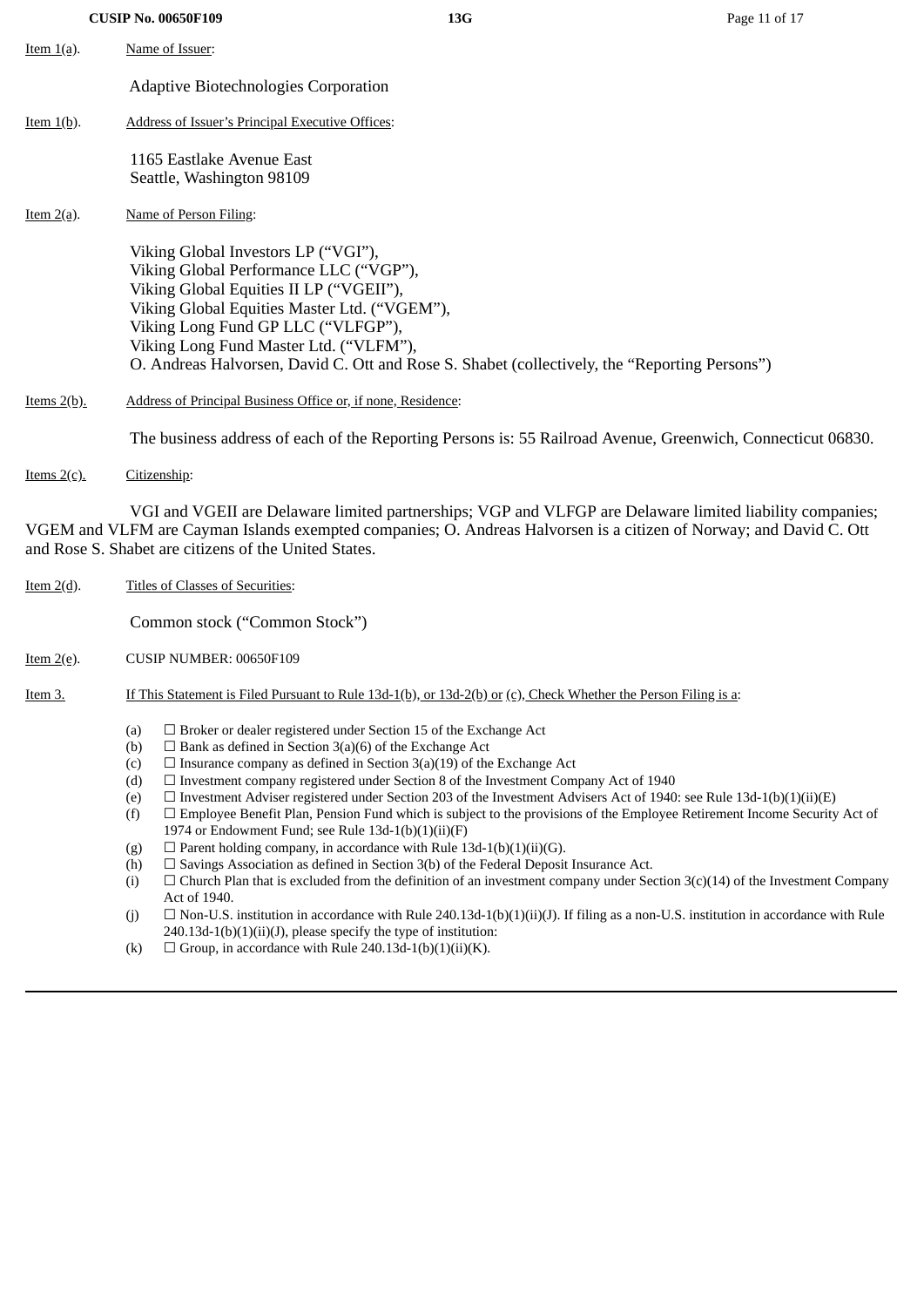**CUSIP No. 00650F109 13G** Page 11 of 17 Item 1(a). Name of Issuer: Adaptive Biotechnologies Corporation Item 1(b). Address of Issuer's Principal Executive Offices: 1165 Eastlake Avenue East Seattle, Washington 98109 Item 2(a). Name of Person Filing: Viking Global Investors LP ("VGI"), Viking Global Performance LLC ("VGP"), Viking Global Equities II LP ("VGEII"), Viking Global Equities Master Ltd. ("VGEM"), Viking Long Fund GP LLC ("VLFGP"), Viking Long Fund Master Ltd. ("VLFM"), O. Andreas Halvorsen, David C. Ott and Rose S. Shabet (collectively, the "Reporting Persons") Items 2(b). Address of Principal Business Office or, if none, Residence: The business address of each of the Reporting Persons is: 55 Railroad Avenue, Greenwich, Connecticut 06830.

Items 2(c). Citizenship:

VGI and VGEII are Delaware limited partnerships; VGP and VLFGP are Delaware limited liability companies; VGEM and VLFM are Cayman Islands exempted companies; O. Andreas Halvorsen is a citizen of Norway; and David C. Ott and Rose S. Shabet are citizens of the United States.

Item 2(d). Titles of Classes of Securities:

Common stock ("Common Stock")

- Item 2(e). CUSIP NUMBER: 00650F109
- Item 3. If This Statement is Filed Pursuant to Rule 13d-1(b), or 13d-2(b) or (c), Check Whether the Person Filing is a:
	- (a)  $\Box$  Broker or dealer registered under Section 15 of the Exchange Act
	- (b)  $\Box$  Bank as defined in Section 3(a)(6) of the Exchange Act
	- (c)  $\Box$  Insurance company as defined in Section 3(a)(19) of the Exchange Act
	- (d)  $\Box$  Investment company registered under Section 8 of the Investment Company Act of 1940
	- (e)  $\Box$  Investment Adviser registered under Section 203 of the Investment Advisers Act of 1940: see Rule 13d-1(b)(1)(ii)(E)
	- (f)  $□$  Employee Benefit Plan, Pension Fund which is subject to the provisions of the Employee Retirement Income Security Act of 1974 or Endowment Fund; see Rule  $13d-1(b)(1)(ii)(F)$
	- (g)  $\Box$  Parent holding company, in accordance with Rule 13d-1(b)(1)(ii)(G).
	- (h)  $\Box$  Savings Association as defined in Section 3(b) of the Federal Deposit Insurance Act.
	- (i)  $\Box$  Church Plan that is excluded from the definition of an investment company under Section 3(c)(14) of the Investment Company Act of 1940.
	- (i)  $\Box$  Non-U.S. institution in accordance with Rule 240.13d-1(b)(1)(ii)(J). If filing as a non-U.S. institution in accordance with Rule  $240.13d-1(b)(1)(ii)(J)$ , please specify the type of institution:
	- (k)  $\Box$  Group, in accordance with Rule 240.13d-1(b)(1)(ii)(K).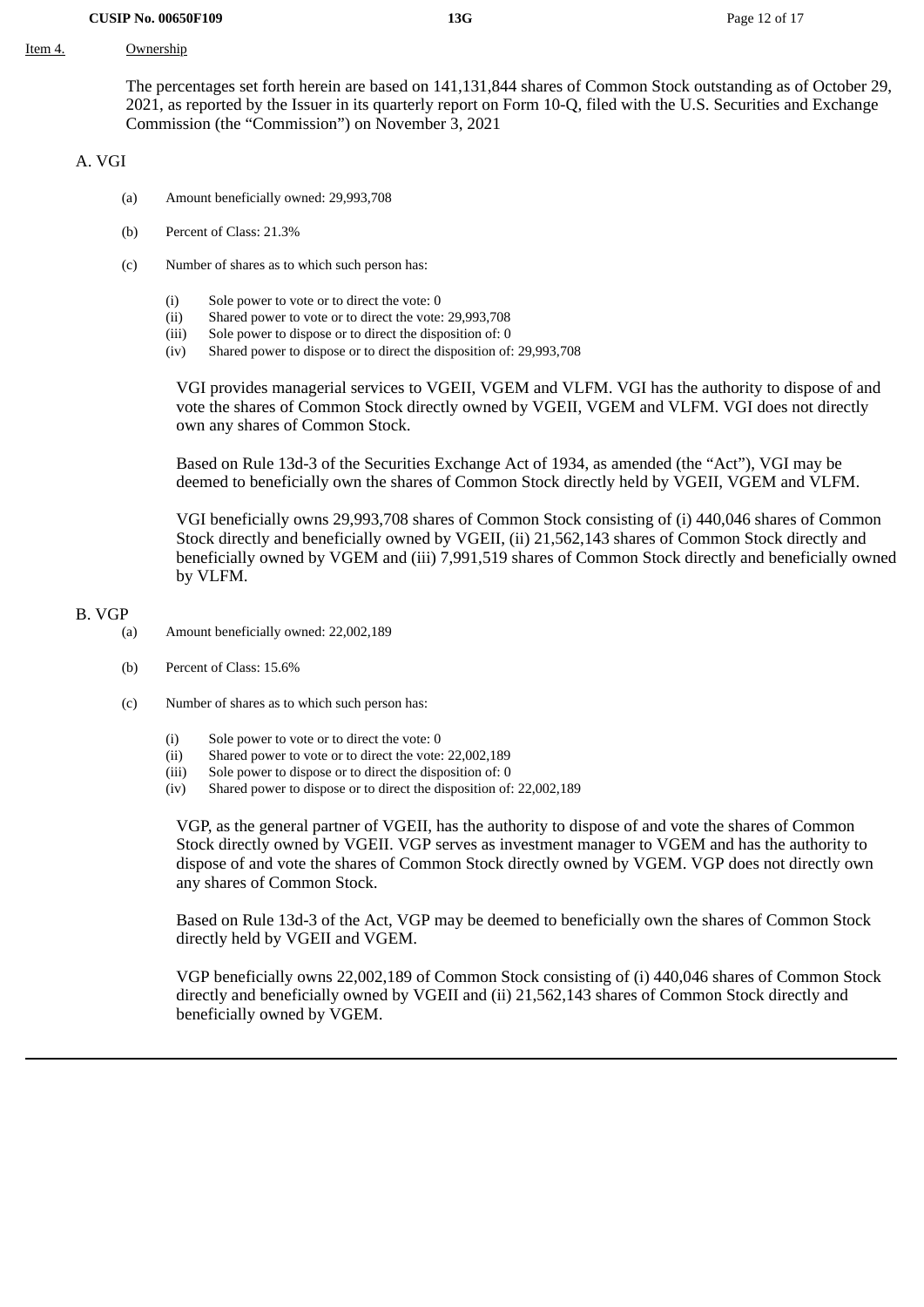#### Item 4. Ownership

The percentages set forth herein are based on 141,131,844 shares of Common Stock outstanding as of October 29, 2021, as reported by the Issuer in its quarterly report on Form 10-Q, filed with the U.S. Securities and Exchange Commission (the "Commission") on November 3, 2021

#### A. VGI

- (a) Amount beneficially owned: 29,993,708
- (b) Percent of Class: 21.3%
- (c) Number of shares as to which such person has:
	- (i) Sole power to vote or to direct the vote: 0
	- (ii) Shared power to vote or to direct the vote: 29,993,708
	- (iii) Sole power to dispose or to direct the disposition of: 0
	- (iv) Shared power to dispose or to direct the disposition of: 29,993,708

VGI provides managerial services to VGEII, VGEM and VLFM. VGI has the authority to dispose of and vote the shares of Common Stock directly owned by VGEII, VGEM and VLFM. VGI does not directly own any shares of Common Stock.

Based on Rule 13d-3 of the Securities Exchange Act of 1934, as amended (the "Act"), VGI may be deemed to beneficially own the shares of Common Stock directly held by VGEII, VGEM and VLFM.

VGI beneficially owns 29,993,708 shares of Common Stock consisting of (i) 440,046 shares of Common Stock directly and beneficially owned by VGEII, (ii) 21,562,143 shares of Common Stock directly and beneficially owned by VGEM and (iii) 7,991,519 shares of Common Stock directly and beneficially owned by VLFM.

#### B. VGP

- (a) Amount beneficially owned: 22,002,189
	- (b) Percent of Class: 15.6%
	- (c) Number of shares as to which such person has:
		- (i) Sole power to vote or to direct the vote: 0
		- (ii) Shared power to vote or to direct the vote: 22,002,189
		- (iii) Sole power to dispose or to direct the disposition of: 0
		- (iv) Shared power to dispose or to direct the disposition of: 22,002,189

VGP, as the general partner of VGEII, has the authority to dispose of and vote the shares of Common Stock directly owned by VGEII. VGP serves as investment manager to VGEM and has the authority to dispose of and vote the shares of Common Stock directly owned by VGEM. VGP does not directly own any shares of Common Stock.

Based on Rule 13d-3 of the Act, VGP may be deemed to beneficially own the shares of Common Stock directly held by VGEII and VGEM.

VGP beneficially owns 22,002,189 of Common Stock consisting of (i) 440,046 shares of Common Stock directly and beneficially owned by VGEII and (ii) 21,562,143 shares of Common Stock directly and beneficially owned by VGEM.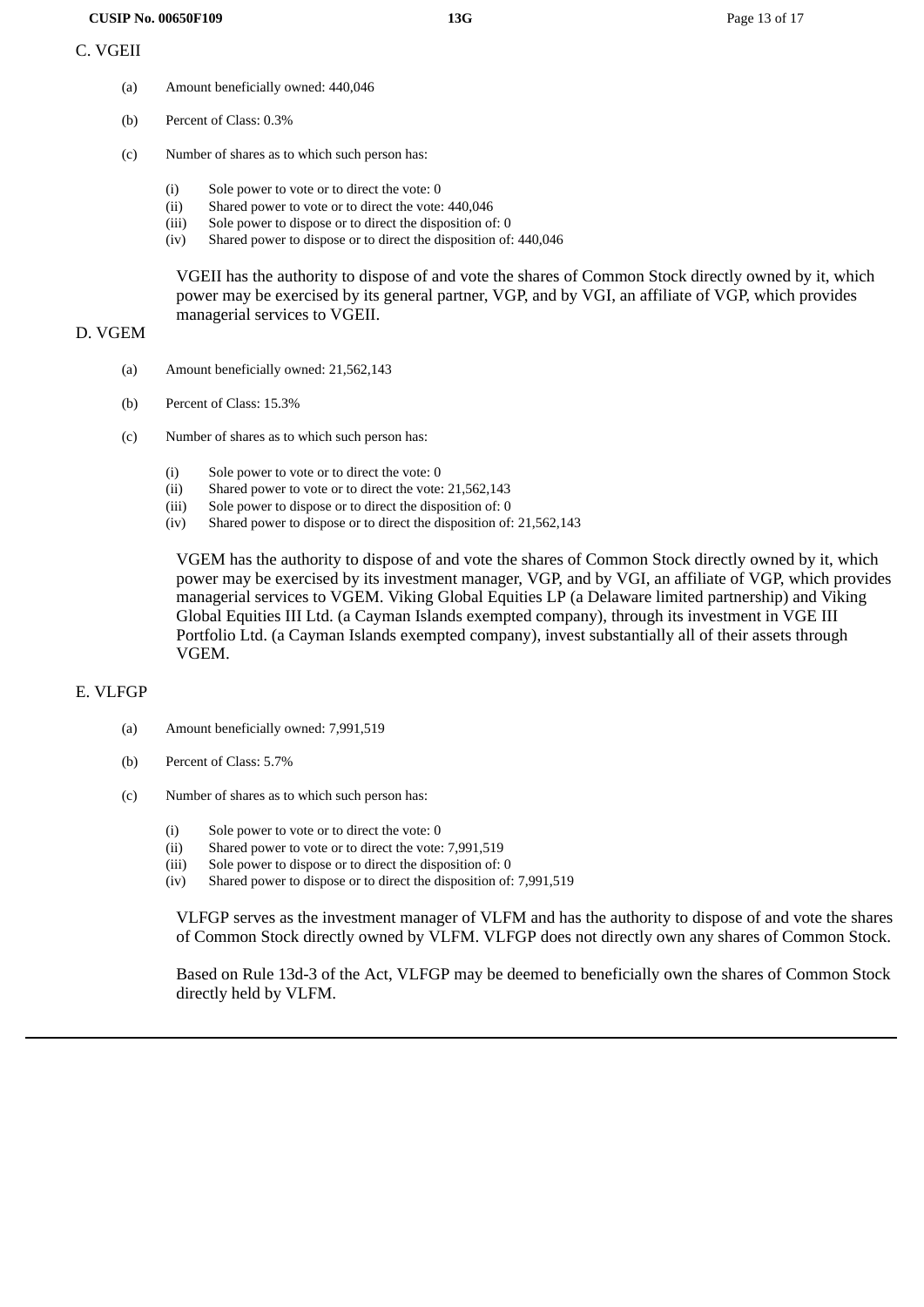- (a) Amount beneficially owned: 440,046
- (b) Percent of Class: 0.3%
- (c) Number of shares as to which such person has:
	- (i) Sole power to vote or to direct the vote: 0
	- (ii) Shared power to vote or to direct the vote: 440,046
	- (iii) Sole power to dispose or to direct the disposition of: 0
	- (iv) Shared power to dispose or to direct the disposition of: 440,046

VGEII has the authority to dispose of and vote the shares of Common Stock directly owned by it, which power may be exercised by its general partner, VGP, and by VGI, an affiliate of VGP, which provides managerial services to VGEII.

#### D. VGEM

- (a) Amount beneficially owned: 21,562,143
- (b) Percent of Class: 15.3%
- (c) Number of shares as to which such person has:
	- (i) Sole power to vote or to direct the vote: 0
	- (ii) Shared power to vote or to direct the vote: 21,562,143
	- (iii) Sole power to dispose or to direct the disposition of: 0
	- (iv) Shared power to dispose or to direct the disposition of: 21,562,143

VGEM has the authority to dispose of and vote the shares of Common Stock directly owned by it, which power may be exercised by its investment manager, VGP, and by VGI, an affiliate of VGP, which provides managerial services to VGEM. Viking Global Equities LP (a Delaware limited partnership) and Viking Global Equities III Ltd. (a Cayman Islands exempted company), through its investment in VGE III Portfolio Ltd. (a Cayman Islands exempted company), invest substantially all of their assets through VGEM.

#### E. VLFGP

- (a) Amount beneficially owned: 7,991,519
- (b) Percent of Class: 5.7%
- (c) Number of shares as to which such person has:
	- (i) Sole power to vote or to direct the vote: 0
	- (ii) Shared power to vote or to direct the vote: 7,991,519
	- (iii) Sole power to dispose or to direct the disposition of: 0
	- (iv) Shared power to dispose or to direct the disposition of: 7,991,519

VLFGP serves as the investment manager of VLFM and has the authority to dispose of and vote the shares of Common Stock directly owned by VLFM. VLFGP does not directly own any shares of Common Stock.

Based on Rule 13d-3 of the Act, VLFGP may be deemed to beneficially own the shares of Common Stock directly held by VLFM.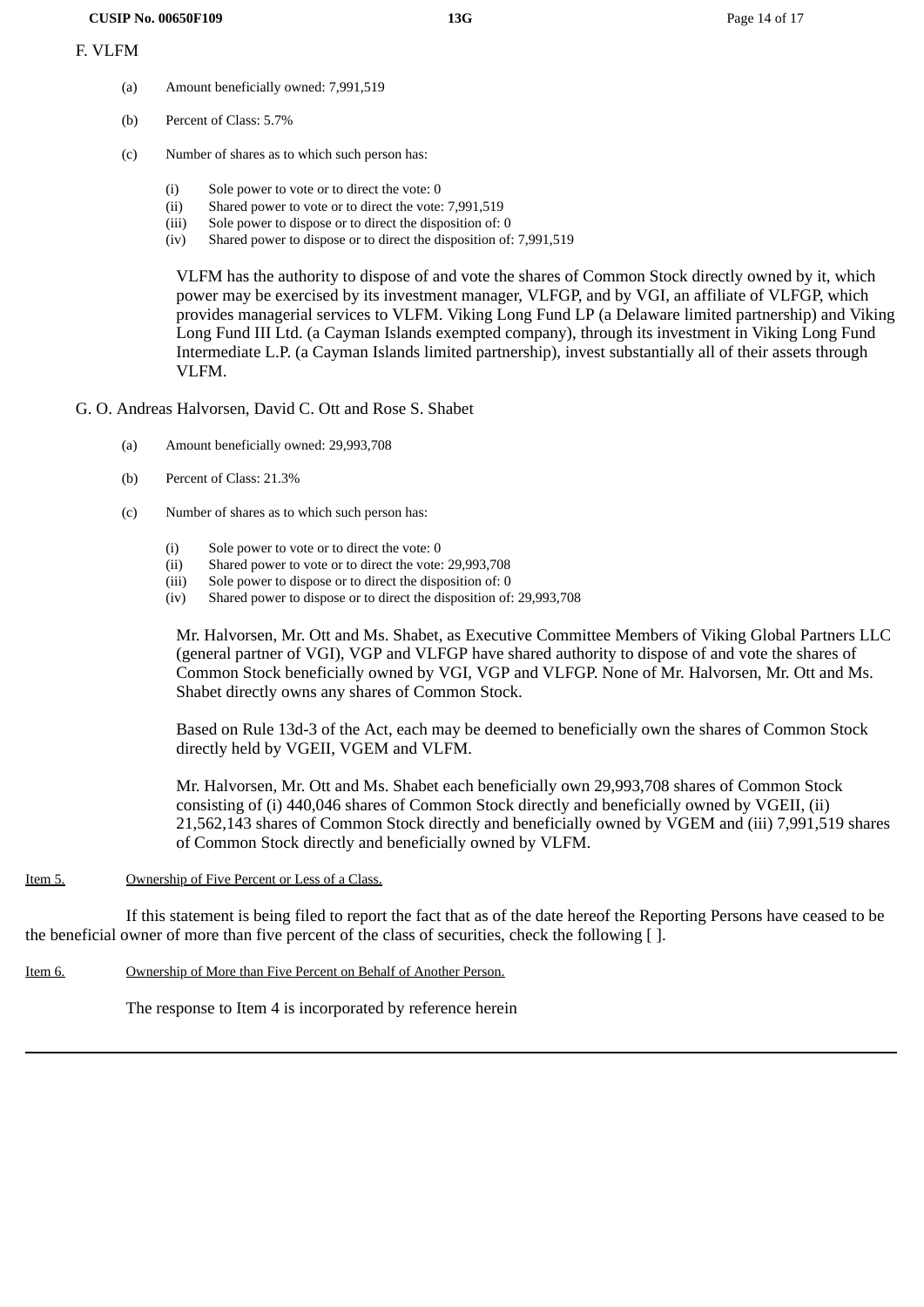- (a) Amount beneficially owned: 7,991,519
- (b) Percent of Class: 5.7%
- (c) Number of shares as to which such person has:
	- (i) Sole power to vote or to direct the vote: 0
	- (ii) Shared power to vote or to direct the vote: 7,991,519
	- (iii) Sole power to dispose or to direct the disposition of: 0
	- (iv) Shared power to dispose or to direct the disposition of: 7,991,519

VLFM has the authority to dispose of and vote the shares of Common Stock directly owned by it, which power may be exercised by its investment manager, VLFGP, and by VGI, an affiliate of VLFGP, which provides managerial services to VLFM. Viking Long Fund LP (a Delaware limited partnership) and Viking Long Fund III Ltd. (a Cayman Islands exempted company), through its investment in Viking Long Fund Intermediate L.P. (a Cayman Islands limited partnership), invest substantially all of their assets through VLFM.

- G. O. Andreas Halvorsen, David C. Ott and Rose S. Shabet
	- (a) Amount beneficially owned: 29,993,708
	- (b) Percent of Class: 21.3%
	- (c) Number of shares as to which such person has:
		- (i) Sole power to vote or to direct the vote: 0
		- (ii) Shared power to vote or to direct the vote: 29,993,708
		- (iii) Sole power to dispose or to direct the disposition of: 0
		- (iv) Shared power to dispose or to direct the disposition of: 29,993,708

Mr. Halvorsen, Mr. Ott and Ms. Shabet, as Executive Committee Members of Viking Global Partners LLC (general partner of VGI), VGP and VLFGP have shared authority to dispose of and vote the shares of Common Stock beneficially owned by VGI, VGP and VLFGP. None of Mr. Halvorsen, Mr. Ott and Ms. Shabet directly owns any shares of Common Stock.

Based on Rule 13d-3 of the Act, each may be deemed to beneficially own the shares of Common Stock directly held by VGEII, VGEM and VLFM.

Mr. Halvorsen, Mr. Ott and Ms. Shabet each beneficially own 29,993,708 shares of Common Stock consisting of (i) 440,046 shares of Common Stock directly and beneficially owned by VGEII, (ii) 21,562,143 shares of Common Stock directly and beneficially owned by VGEM and (iii) 7,991,519 shares of Common Stock directly and beneficially owned by VLFM.

#### Item 5. Ownership of Five Percent or Less of a Class.

If this statement is being filed to report the fact that as of the date hereof the Reporting Persons have ceased to be the beneficial owner of more than five percent of the class of securities, check the following [ ].

Item 6. Ownership of More than Five Percent on Behalf of Another Person.

The response to Item 4 is incorporated by reference herein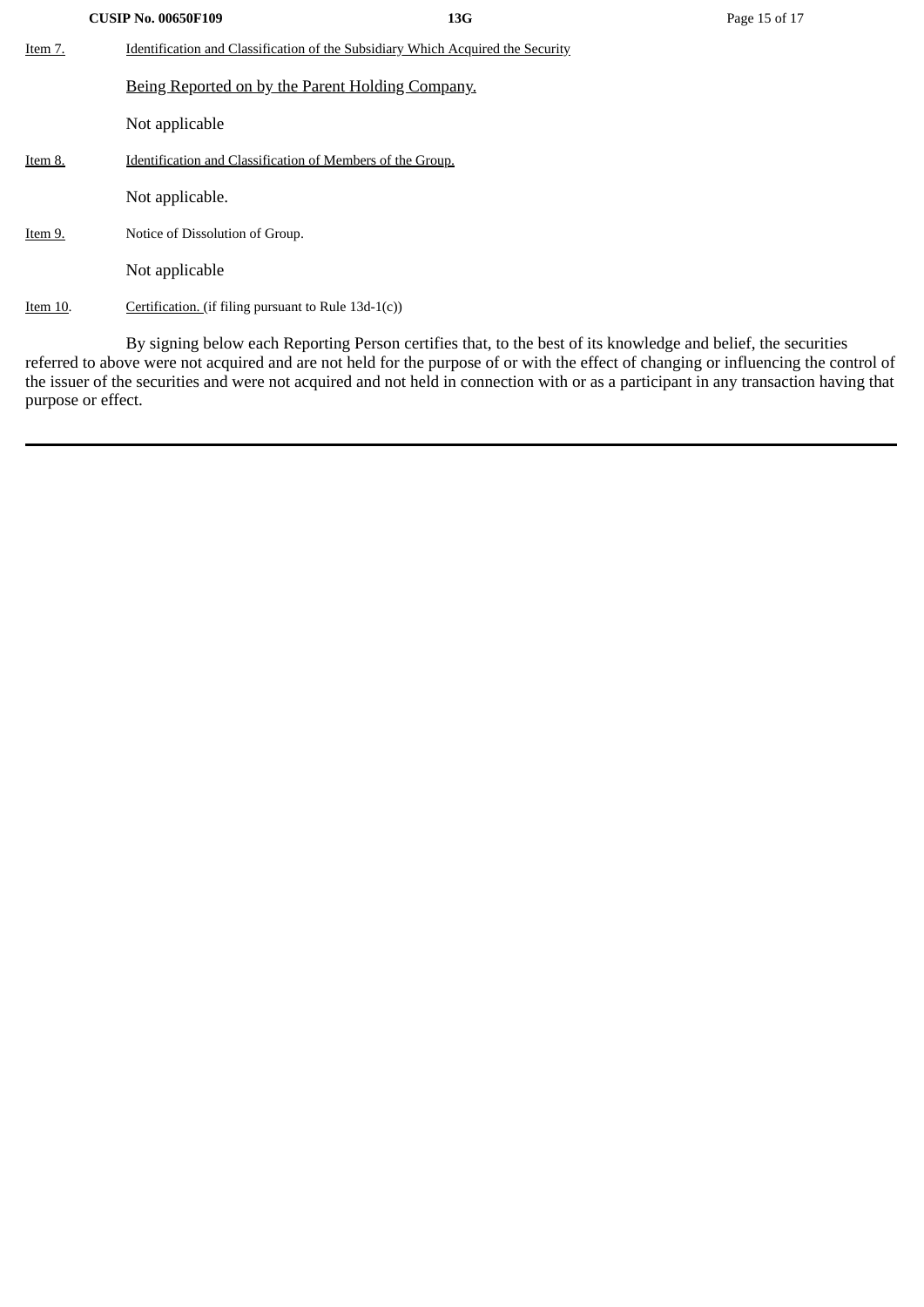|          | <b>CUSIP No. 00650F109</b>                                 | 13G                                                                             | Page 15 of 17 |  |  |  |  |  |
|----------|------------------------------------------------------------|---------------------------------------------------------------------------------|---------------|--|--|--|--|--|
| Item 7.  |                                                            | Identification and Classification of the Subsidiary Which Acquired the Security |               |  |  |  |  |  |
|          | Being Reported on by the Parent Holding Company.           |                                                                                 |               |  |  |  |  |  |
|          | Not applicable                                             |                                                                                 |               |  |  |  |  |  |
| Item 8.  | Identification and Classification of Members of the Group. |                                                                                 |               |  |  |  |  |  |
|          | Not applicable.                                            |                                                                                 |               |  |  |  |  |  |
| Item 9.  | Notice of Dissolution of Group.                            |                                                                                 |               |  |  |  |  |  |
|          | Not applicable                                             |                                                                                 |               |  |  |  |  |  |
| Item 10. | Certification. (if filing pursuant to Rule 13d-1(c))       |                                                                                 |               |  |  |  |  |  |

By signing below each Reporting Person certifies that, to the best of its knowledge and belief, the securities referred to above were not acquired and are not held for the purpose of or with the effect of changing or influencing the control of the issuer of the securities and were not acquired and not held in connection with or as a participant in any transaction having that purpose or effect.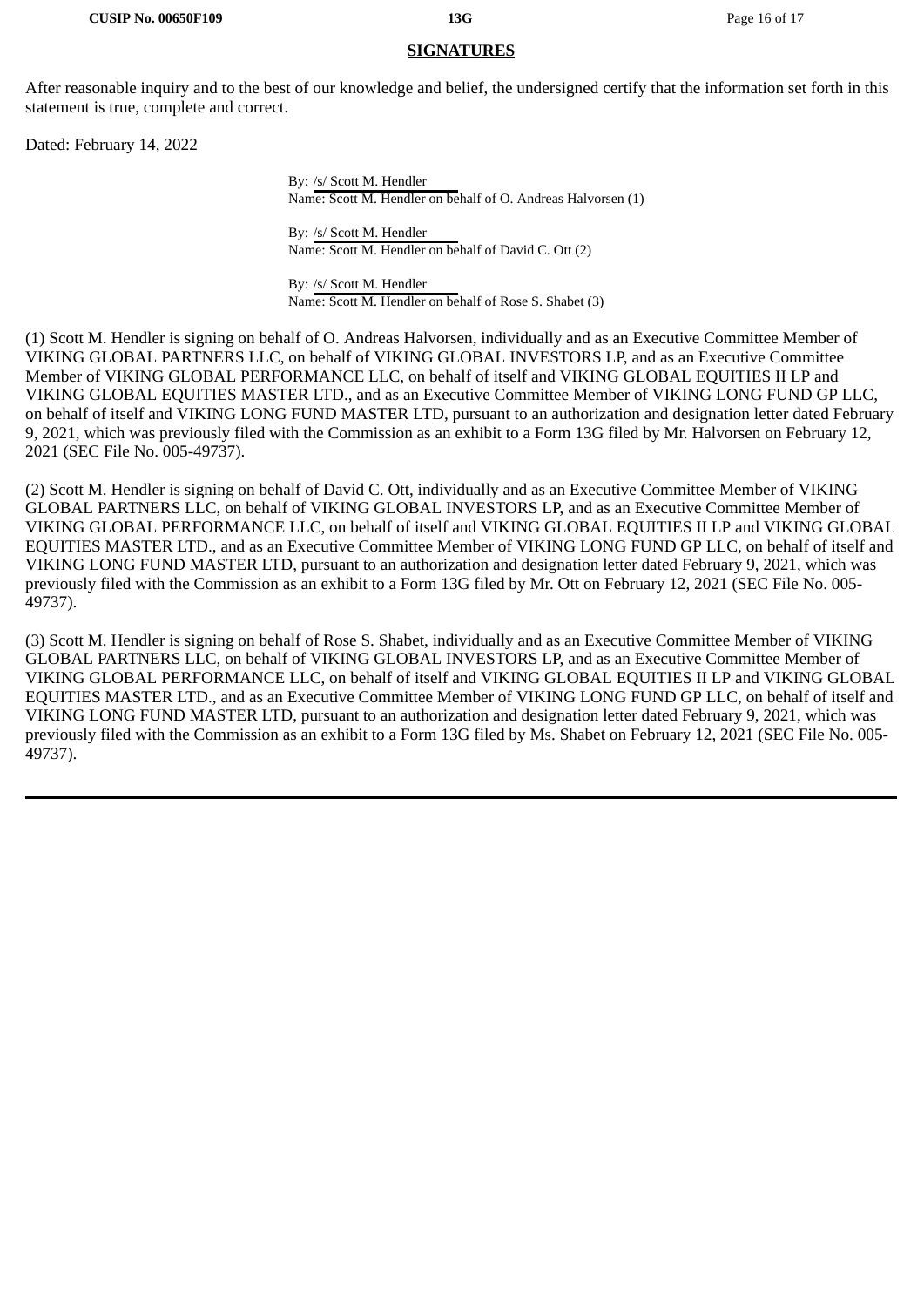#### **SIGNATURES**

After reasonable inquiry and to the best of our knowledge and belief, the undersigned certify that the information set forth in this statement is true, complete and correct.

Dated: February 14, 2022

By: /s/ Scott M. Hendler Name: Scott M. Hendler on behalf of O. Andreas Halvorsen (1)

By: /s/ Scott M. Hendler Name: Scott M. Hendler on behalf of David C. Ott (2)

By: /s/ Scott M. Hendler Name: Scott M. Hendler on behalf of Rose S. Shabet (3)

(1) Scott M. Hendler is signing on behalf of O. Andreas Halvorsen, individually and as an Executive Committee Member of VIKING GLOBAL PARTNERS LLC, on behalf of VIKING GLOBAL INVESTORS LP, and as an Executive Committee Member of VIKING GLOBAL PERFORMANCE LLC, on behalf of itself and VIKING GLOBAL EQUITIES II LP and VIKING GLOBAL EQUITIES MASTER LTD., and as an Executive Committee Member of VIKING LONG FUND GP LLC, on behalf of itself and VIKING LONG FUND MASTER LTD, pursuant to an authorization and designation letter dated February 9, 2021, which was previously filed with the Commission as an exhibit to a Form 13G filed by Mr. Halvorsen on February 12, 2021 (SEC File No. 005-49737).

(2) Scott M. Hendler is signing on behalf of David C. Ott, individually and as an Executive Committee Member of VIKING GLOBAL PARTNERS LLC, on behalf of VIKING GLOBAL INVESTORS LP, and as an Executive Committee Member of VIKING GLOBAL PERFORMANCE LLC, on behalf of itself and VIKING GLOBAL EQUITIES II LP and VIKING GLOBAL EQUITIES MASTER LTD., and as an Executive Committee Member of VIKING LONG FUND GP LLC, on behalf of itself and VIKING LONG FUND MASTER LTD, pursuant to an authorization and designation letter dated February 9, 2021, which was previously filed with the Commission as an exhibit to a Form 13G filed by Mr. Ott on February 12, 2021 (SEC File No. 005- 49737).

(3) Scott M. Hendler is signing on behalf of Rose S. Shabet, individually and as an Executive Committee Member of VIKING GLOBAL PARTNERS LLC, on behalf of VIKING GLOBAL INVESTORS LP, and as an Executive Committee Member of VIKING GLOBAL PERFORMANCE LLC, on behalf of itself and VIKING GLOBAL EQUITIES II LP and VIKING GLOBAL EQUITIES MASTER LTD., and as an Executive Committee Member of VIKING LONG FUND GP LLC, on behalf of itself and VIKING LONG FUND MASTER LTD, pursuant to an authorization and designation letter dated February 9, 2021, which was previously filed with the Commission as an exhibit to a Form 13G filed by Ms. Shabet on February 12, 2021 (SEC File No. 005- 49737).